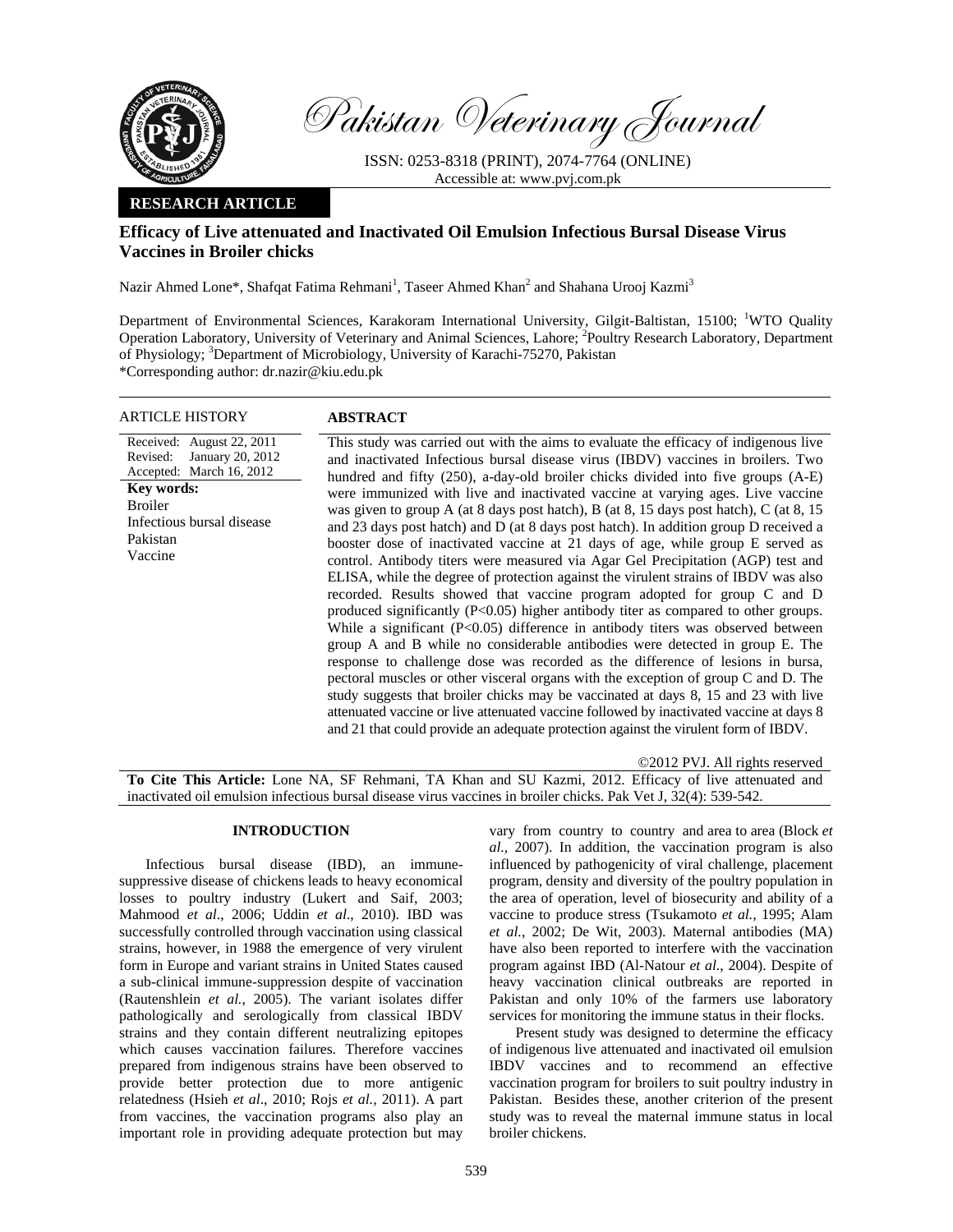

Pakistan Veterinary Journal

ISSN: 0253-8318 (PRINT), 2074-7764 (ONLINE) Accessible at: www.pvj.com.pk

## **RESEARCH ARTICLE**

# **Efficacy of Live attenuated and Inactivated Oil Emulsion Infectious Bursal Disease Virus Vaccines in Broiler chicks**

Nazir Ahmed Lone\*, Shafqat Fatima Rehmani<sup>1</sup>, Taseer Ahmed Khan<sup>2</sup> and Shahana Urooj Kazmi<sup>3</sup>

Department of Environmental Sciences, Karakoram International University, Gilgit-Baltistan, 15100; <sup>1</sup>WTO Quality Operation Laboratory, University of Veterinary and Animal Sciences, Lahore; <sup>2</sup>Poultry Research Laboratory, Department of Physiology; <sup>3</sup>Department of Microbiology, University of Karachi-75270, Pakistan \*Corresponding author: dr.nazir@kiu.edu.pk

| ARTICLE HISTORY                                                                                                                                                           | ABSTRACT                                                                                                                                                                                                                                                                                                                                                                                                                                                                                                                                                                                                                                                                                                                                                                                                                                                                                                                                                                                                                                                                                                                                                                                                                                                                                                                                                                                                                                                                                                                                                                                                                 |
|---------------------------------------------------------------------------------------------------------------------------------------------------------------------------|--------------------------------------------------------------------------------------------------------------------------------------------------------------------------------------------------------------------------------------------------------------------------------------------------------------------------------------------------------------------------------------------------------------------------------------------------------------------------------------------------------------------------------------------------------------------------------------------------------------------------------------------------------------------------------------------------------------------------------------------------------------------------------------------------------------------------------------------------------------------------------------------------------------------------------------------------------------------------------------------------------------------------------------------------------------------------------------------------------------------------------------------------------------------------------------------------------------------------------------------------------------------------------------------------------------------------------------------------------------------------------------------------------------------------------------------------------------------------------------------------------------------------------------------------------------------------------------------------------------------------|
| Received: August 22, 2011<br>Revised:<br>January 20, 2012<br>Accepted: March 16, 2012<br>Key words:<br><b>Broiler</b><br>Infectious bursal disease<br>Pakistan<br>Vaccine | This study was carried out with the aims to evaluate the efficacy of indigenous live<br>and inactivated Infectious bursal disease virus (IBDV) vaccines in broilers. Two<br>hundred and fifty (250), a-day-old broiler chicks divided into five groups (A-E)<br>were immunized with live and inactivated vaccine at varying ages. Live vaccine<br>was given to group A (at 8 days post hatch), B (at 8, 15 days post hatch), C (at 8, 15<br>and 23 days post hatch) and D (at 8 days post hatch). In addition group D received a<br>booster dose of inactivated vaccine at 21 days of age, while group E served as<br>control. Antibody titers were measured via Agar Gel Precipitation (AGP) test and<br>ELISA, while the degree of protection against the virulent strains of IBDV was also<br>recorded. Results showed that vaccine program adopted for group C and D<br>produced significantly $(P<0.05)$ higher antibody titer as compared to other groups.<br>While a significant $(P<0.05)$ difference in antibody titers was observed between<br>group A and B while no considerable antibodies were detected in group E. The<br>response to challenge dose was recorded as the difference of lesions in bursa,<br>pectoral muscles or other visceral organs with the exception of group C and D. The<br>study suggests that broiler chicks may be vaccinated at days 8, 15 and 23 with live<br>attenuated vaccine or live attenuated vaccine followed by inactivated vaccine at days 8<br>and 21 that could provide an adequate protection against the virulent form of IBDV.<br>©2012 PVJ. All rights reserved |
|                                                                                                                                                                           |                                                                                                                                                                                                                                                                                                                                                                                                                                                                                                                                                                                                                                                                                                                                                                                                                                                                                                                                                                                                                                                                                                                                                                                                                                                                                                                                                                                                                                                                                                                                                                                                                          |

**To Cite This Article:** Lone NA, SF Rehmani, TA Khan and SU Kazmi, 2012. Efficacy of live attenuated and inactivated oil emulsion infectious bursal disease virus vaccines in broiler chicks. Pak Vet J, 32(4): 539-542.

## **INTRODUCTION**

Infectious bursal disease (IBD), an immunesuppressive disease of chickens leads to heavy economical losses to poultry industry (Lukert and Saif, 2003; Mahmood *et al*., 2006; Uddin *et al*., 2010). IBD was successfully controlled through vaccination using classical strains, however, in 1988 the emergence of very virulent form in Europe and variant strains in United States caused a sub-clinical immune-suppression despite of vaccination (Rautenshlein *et al.,* 2005). The variant isolates differ pathologically and serologically from classical IBDV strains and they contain different neutralizing epitopes which causes vaccination failures. Therefore vaccines prepared from indigenous strains have been observed to provide better protection due to more antigenic relatedness (Hsieh *et al*., 2010; Rojs *et al.,* 2011). A part from vaccines, the vaccination programs also play an important role in providing adequate protection but may

vary from country to country and area to area (Block *et al.,* 2007). In addition, the vaccination program is also influenced by pathogenicity of viral challenge, placement program, density and diversity of the poultry population in the area of operation, level of biosecurity and ability of a vaccine to produce stress (Tsukamoto *et al.*, 1995; Alam *et al.*, 2002; De Wit, 2003). Maternal antibodies (MA) have also been reported to interfere with the vaccination program against IBD (Al-Natour *et al.*, 2004). Despite of heavy vaccination clinical outbreaks are reported in Pakistan and only 10% of the farmers use laboratory services for monitoring the immune status in their flocks.

Present study was designed to determine the efficacy of indigenous live attenuated and inactivated oil emulsion IBDV vaccines and to recommend an effective vaccination program for broilers to suit poultry industry in Pakistan. Besides these, another criterion of the present study was to reveal the maternal immune status in local broiler chickens.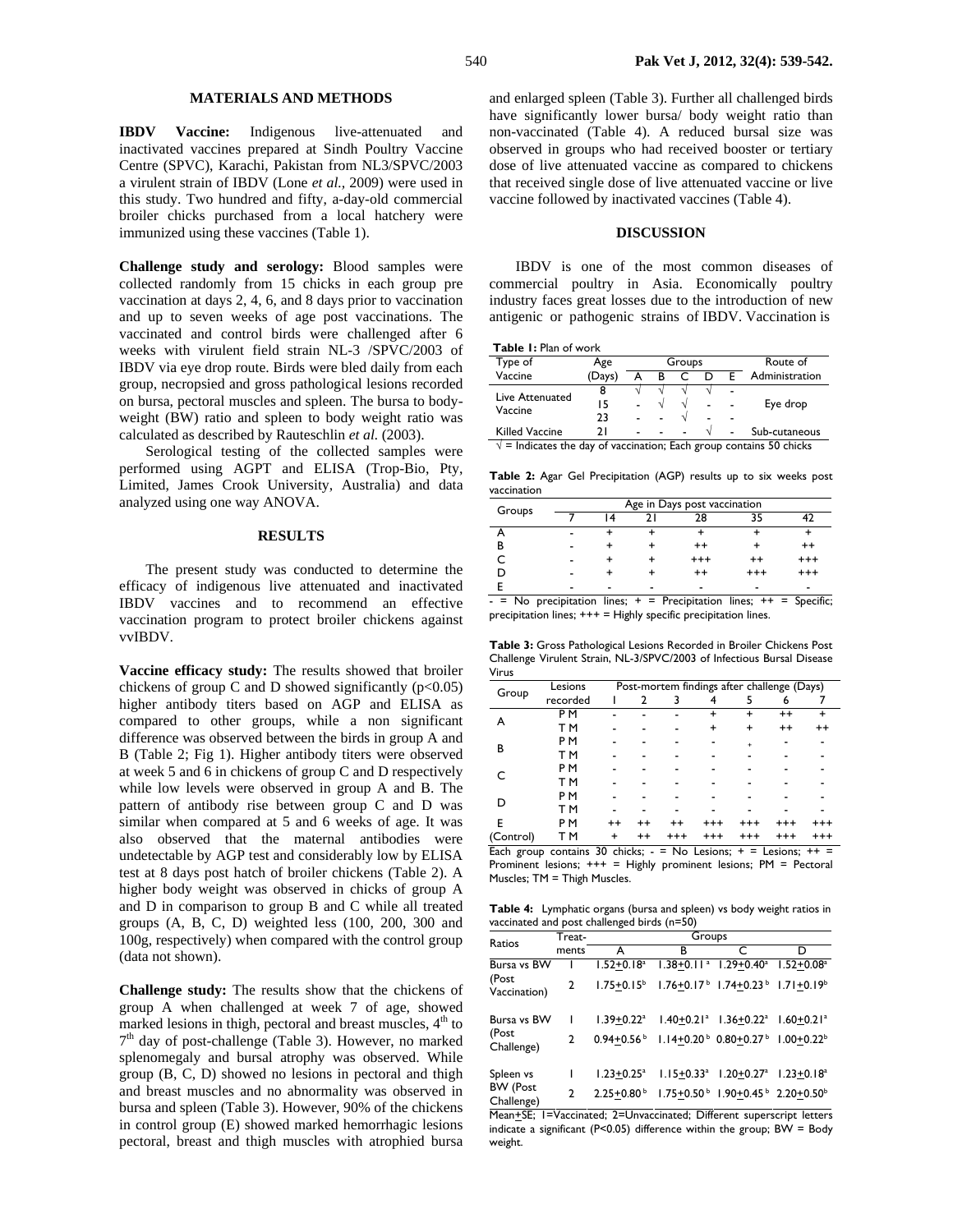## **MATERIALS AND METHODS**

**IBDV Vaccine:** Indigenous live-attenuated and inactivated vaccines prepared at Sindh Poultry Vaccine Centre (SPVC), Karachi, Pakistan from NL3/SPVC/2003 a virulent strain of IBDV (Lone *et al.,* 2009) were used in this study. Two hundred and fifty, a-day-old commercial broiler chicks purchased from a local hatchery were immunized using these vaccines (Table 1).

**Challenge study and serology:** Blood samples were collected randomly from 15 chicks in each group pre vaccination at days 2, 4, 6, and 8 days prior to vaccination and up to seven weeks of age post vaccinations. The vaccinated and control birds were challenged after 6 weeks with virulent field strain NL-3 /SPVC/2003 of IBDV via eye drop route. Birds were bled daily from each group, necropsied and gross pathological lesions recorded on bursa, pectoral muscles and spleen. The bursa to bodyweight (BW) ratio and spleen to body weight ratio was calculated as described by Rauteschlin *et al.* (2003).

Serological testing of the collected samples were performed using AGPT and ELISA (Trop-Bio, Pty, Limited, James Crook University, Australia) and data analyzed using one way ANOVA.

### **RESULTS**

The present study was conducted to determine the efficacy of indigenous live attenuated and inactivated IBDV vaccines and to recommend an effective vaccination program to protect broiler chickens against vvIBDV.

**Vaccine efficacy study:** The results showed that broiler chickens of group C and D showed significantly  $(p<0.05)$ higher antibody titers based on AGP and ELISA as compared to other groups, while a non significant difference was observed between the birds in group A and B (Table 2; Fig 1). Higher antibody titers were observed at week 5 and 6 in chickens of group C and D respectively while low levels were observed in group A and B. The pattern of antibody rise between group C and D was similar when compared at 5 and 6 weeks of age. It was also observed that the maternal antibodies were undetectable by AGP test and considerably low by ELISA test at 8 days post hatch of broiler chickens (Table 2). A higher body weight was observed in chicks of group A and D in comparison to group B and C while all treated groups (A, B, C, D) weighted less (100, 200, 300 and 100g, respectively) when compared with the control group (data not shown).

**Challenge study:** The results show that the chickens of group A when challenged at week 7 of age, showed marked lesions in thigh, pectoral and breast muscles, 4<sup>th</sup> to  $7<sup>th</sup>$  day of post-challenge (Table 3). However, no marked splenomegaly and bursal atrophy was observed. While group (B, C, D) showed no lesions in pectoral and thigh and breast muscles and no abnormality was observed in bursa and spleen (Table 3). However, 90% of the chickens in control group (E) showed marked hemorrhagic lesions pectoral, breast and thigh muscles with atrophied bursa

and enlarged spleen (Table 3). Further all challenged birds have significantly lower bursa/ body weight ratio than non-vaccinated (Table 4). A reduced bursal size was observed in groups who had received booster or tertiary dose of live attenuated vaccine as compared to chickens that received single dose of live attenuated vaccine or live vaccine followed by inactivated vaccines (Table 4).

### **DISCUSSION**

IBDV is one of the most common diseases of commercial poultry in Asia. Economically poultry industry faces great losses due to the introduction of new antigenic or pathogenic strains of IBDV. Vaccination is

| <b>Table I: Plan of work</b> |  |
|------------------------------|--|
|------------------------------|--|

| Type of                                                                      | Age    |    |   | Groups | Route of |   |                |
|------------------------------------------------------------------------------|--------|----|---|--------|----------|---|----------------|
| Vaccine                                                                      | (Days) | А  | в |        | D        | F | Administration |
| Live Attenuated                                                              | 8      |    |   |        |          |   |                |
|                                                                              | 15     | L, |   | N      |          |   | Eye drop       |
| Vaccine                                                                      | 23     |    |   |        |          |   |                |
| <b>Killed Vaccine</b>                                                        | 21     |    |   |        |          |   | Sub-cutaneous  |
| $\sqrt{ }$ = Indicates the day of vaccination; Each group contains 50 chicks |        |    |   |        |          |   |                |

**Table 2:** Agar Gel Precipitation (AGP) results up to six weeks post

| vaccination               |   |                              |        |          |          |                  |  |  |  |  |
|---------------------------|---|------------------------------|--------|----------|----------|------------------|--|--|--|--|
|                           |   | Age in Days post vaccination |        |          |          |                  |  |  |  |  |
| Groups                    |   | ا 4                          |        | 28       | 35       |                  |  |  |  |  |
|                           |   |                              |        |          |          |                  |  |  |  |  |
| в                         |   |                              |        | $^{++}$  |          | $^{++}$          |  |  |  |  |
|                           |   |                              |        | $^{+++}$ | $^{++}$  | $^{+++}$         |  |  |  |  |
|                           |   |                              |        | $^{++}$  | $^{+++}$ | $^{+++}$         |  |  |  |  |
| F<br>$\ddot{\phantom{1}}$ | . | $\sim$                       | $\sim$ | .        | $\sim$   | $\sim$<br>$\sim$ |  |  |  |  |

 $-$  = No precipitation lines;  $+$  = Precipitation lines;  $++$  = Specific; precipitation lines; +++ = Highly specific precipitation lines.

**Table 3:** Gross Pathological Lesions Recorded in Broiler Chickens Post Challenge Virulent Strain, NL-3/SPVC/2003 of Infectious Bursal Disease Virus

|                                                                        | Lesions        |           |         |          | Post-mortem findings after challenge (Days) |           |          |                 |
|------------------------------------------------------------------------|----------------|-----------|---------|----------|---------------------------------------------|-----------|----------|-----------------|
| Group                                                                  | recorded       |           |         |          |                                             |           |          |                 |
| А                                                                      | P <sub>M</sub> |           |         |          |                                             |           | $^{++}$  | +               |
|                                                                        | T M            |           |         |          |                                             | +         | $^{++}$  | $^{\mathrm{+}}$ |
| В                                                                      | P M            |           |         |          |                                             | $\ddot{}$ |          |                 |
|                                                                        | TМ             |           |         |          |                                             |           |          |                 |
|                                                                        | P M            |           |         |          |                                             |           |          |                 |
|                                                                        | TМ             |           |         |          |                                             |           |          |                 |
| D                                                                      | P M            |           |         |          |                                             |           |          |                 |
|                                                                        | TМ             |           |         |          |                                             |           |          |                 |
| E                                                                      | P M            | $^{++}$   | ++      | $^{++}$  | $^{+++}$                                    | $^{+++}$  | $^{+++}$ | +++             |
| (Control)                                                              | T M            | $\ddot{}$ | $^{++}$ | $^{+++}$ | $^{+++}$                                    | $^{+++}$  | $^{++}$  | $^{+++}$        |
| Each group contains 30 chicks; $-$ = No Lesions; $+$ = Lesions; $++$ = |                |           |         |          |                                             |           |          |                 |
|                                                                        |                |           |         |          |                                             |           |          |                 |

Prominent lesions; +++ = Highly prominent lesions; PM = Pectoral Muscles; TM = Thigh Muscles.

**Table 4:** Lymphatic organs (bursa and spleen) vs body weight ratios in vaccinated and post challenged birds (n=50)

| Ratios                        | Treat- |                            | Groups                                                                            |                                                                   |                            |  |  |  |
|-------------------------------|--------|----------------------------|-----------------------------------------------------------------------------------|-------------------------------------------------------------------|----------------------------|--|--|--|
|                               | ments  | A                          | в                                                                                 |                                                                   | D                          |  |  |  |
| Bursa vs BW                   |        | $1.52 + 0.18a$             |                                                                                   | $1.38 + 0.11^a$ $1.29 + 0.40^a$                                   | $1.52 + 0.08^{\mathrm{a}}$ |  |  |  |
| (Post<br>Vaccination)         | 2      | $1.75 + 0.15^b$            |                                                                                   | $1.76 + 0.17^{\circ}$ $1.74 + 0.23^{\circ}$ $1.71 + 0.19^{\circ}$ |                            |  |  |  |
| Bursa vs BW                   | ı      | $1.39 + 0.22$ <sup>a</sup> |                                                                                   | $1.40+0.21^a$ $1.36+0.22^a$ $1.60+0.21^a$                         |                            |  |  |  |
| (Post<br>Challenge)           | 2      | $0.94 + 0.56$              | $1.14 \pm 0.20^{\circ}$ 0.80 $\pm$ 0.27 <sup>b</sup> 1.00 $\pm$ 0.22 <sup>b</sup> |                                                                   |                            |  |  |  |
| Spleen vs                     | ı      | $1.23 + 0.25^a$            |                                                                                   | $1.15 \pm 0.33^a$ $1.20 \pm 0.27^a$ $1.23 \pm 0.18^a$             |                            |  |  |  |
| <b>BW</b> (Post<br>Challenge) | 2      | $2.25+0.80b$               |                                                                                   | $1.75+0.50^{\circ}$ 1.90+0.45 $^{\circ}$ 2.20+0.50 $^{\circ}$     |                            |  |  |  |

Mean+SE; 1=Vaccinated; 2=Unvaccinated; Different superscript letters indicate a significant (P<0.05) difference within the group;  $BW = Body$ weight.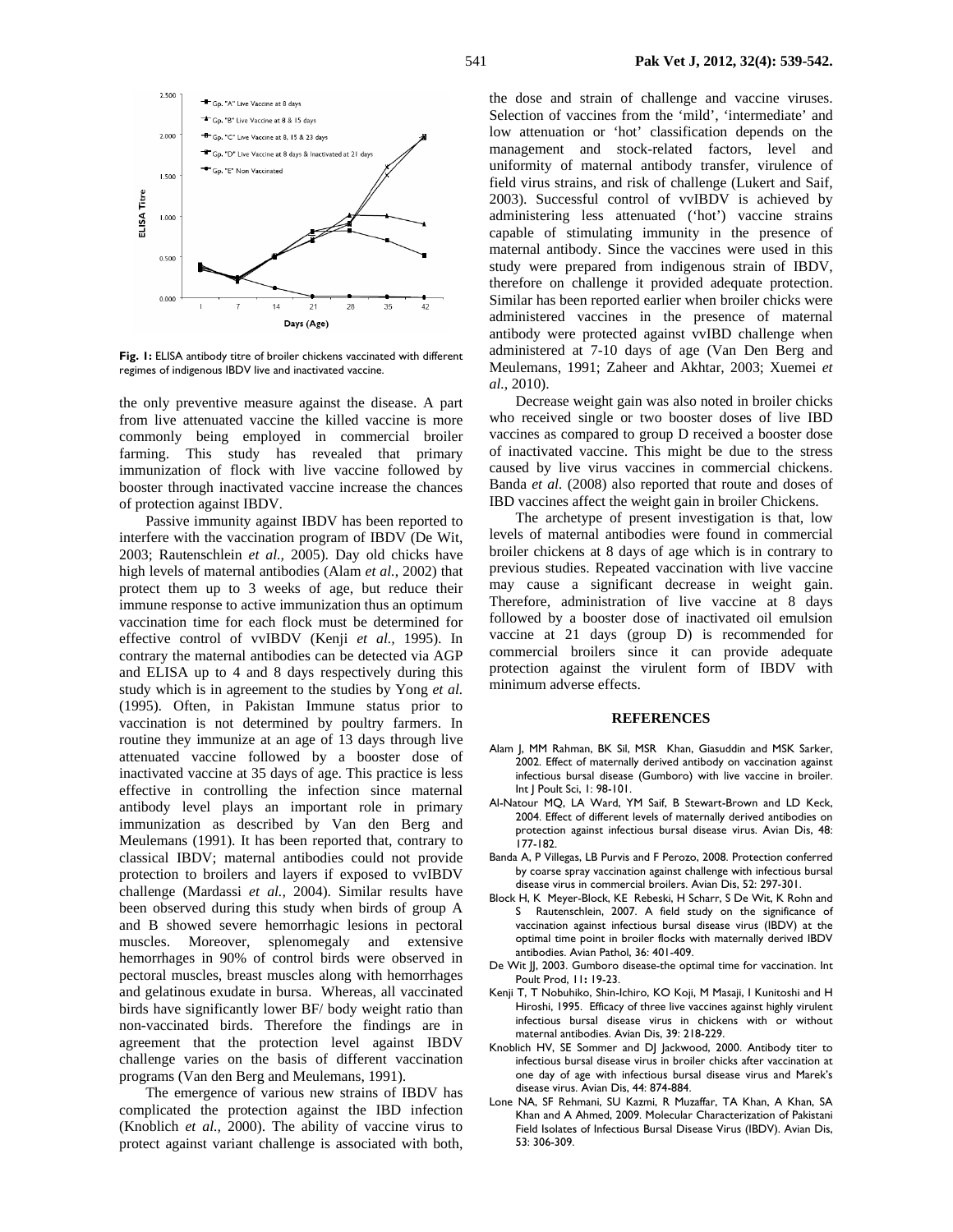

**Fig. 1:** ELISA antibody titre of broiler chickens vaccinated with different regimes of indigenous IBDV live and inactivated vaccine.

the only preventive measure against the disease. A part from live attenuated vaccine the killed vaccine is more commonly being employed in commercial broiler farming. This study has revealed that primary immunization of flock with live vaccine followed by booster through inactivated vaccine increase the chances of protection against IBDV.

Passive immunity against IBDV has been reported to interfere with the vaccination program of IBDV (De Wit, 2003; Rautenschlein *et al.,* 2005). Day old chicks have high levels of maternal antibodies (Alam *et al.*, 2002) that protect them up to 3 weeks of age, but reduce their immune response to active immunization thus an optimum vaccination time for each flock must be determined for effective control of vvIBDV (Kenji *et al.,* 1995). In contrary the maternal antibodies can be detected via AGP and ELISA up to 4 and 8 days respectively during this study which is in agreement to the studies by Yong *et al.* (1995). Often, in Pakistan Immune status prior to vaccination is not determined by poultry farmers. In routine they immunize at an age of 13 days through live attenuated vaccine followed by a booster dose of inactivated vaccine at 35 days of age. This practice is less effective in controlling the infection since maternal antibody level plays an important role in primary immunization as described by Van den Berg and Meulemans (1991). It has been reported that, contrary to classical IBDV; maternal antibodies could not provide protection to broilers and layers if exposed to vvIBDV challenge (Mardassi *et al.,* 2004). Similar results have been observed during this study when birds of group A and B showed severe hemorrhagic lesions in pectoral muscles. Moreover, splenomegaly and extensive hemorrhages in 90% of control birds were observed in pectoral muscles, breast muscles along with hemorrhages and gelatinous exudate in bursa. Whereas, all vaccinated birds have significantly lower BF/ body weight ratio than non-vaccinated birds. Therefore the findings are in agreement that the protection level against IBDV challenge varies on the basis of different vaccination programs (Van den Berg and Meulemans, 1991).

The emergence of various new strains of IBDV has complicated the protection against the IBD infection (Knoblich *et al.,* 2000). The ability of vaccine virus to protect against variant challenge is associated with both,

the dose and strain of challenge and vaccine viruses. Selection of vaccines from the 'mild', 'intermediate' and low attenuation or 'hot' classification depends on the management and stock-related factors, level and uniformity of maternal antibody transfer, virulence of field virus strains, and risk of challenge (Lukert and Saif, 2003). Successful control of vvIBDV is achieved by administering less attenuated ('hot') vaccine strains capable of stimulating immunity in the presence of maternal antibody. Since the vaccines were used in this study were prepared from indigenous strain of IBDV, therefore on challenge it provided adequate protection. Similar has been reported earlier when broiler chicks were administered vaccines in the presence of maternal antibody were protected against vvIBD challenge when administered at 7-10 days of age (Van Den Berg and Meulemans, 1991; Zaheer and Akhtar, 2003; Xuemei *et al.*, 2010).

Decrease weight gain was also noted in broiler chicks who received single or two booster doses of live IBD vaccines as compared to group D received a booster dose of inactivated vaccine. This might be due to the stress caused by live virus vaccines in commercial chickens. Banda *et al.* (2008) also reported that route and doses of IBD vaccines affect the weight gain in broiler Chickens.

The archetype of present investigation is that, low levels of maternal antibodies were found in commercial broiler chickens at 8 days of age which is in contrary to previous studies. Repeated vaccination with live vaccine may cause a significant decrease in weight gain. Therefore, administration of live vaccine at 8 days followed by a booster dose of inactivated oil emulsion vaccine at 21 days (group D) is recommended for commercial broilers since it can provide adequate protection against the virulent form of IBDV with minimum adverse effects.

#### **REFERENCES**

- Alam J, MM Rahman, BK Sil, MSR Khan, Giasuddin and MSK Sarker, 2002. Effect of maternally derived antibody on vaccination against infectious bursal disease (Gumboro) with live vaccine in broiler. Int J Poult Sci, 1: 98-101.
- Al-Natour MQ, LA Ward, YM Saif, B Stewart-Brown and LD Keck, 2004. Effect of different levels of maternally derived antibodies on protection against infectious bursal disease virus. Avian Dis, 48: 177-182.
- Banda A, P Villegas, LB Purvis and F Perozo, 2008. Protection conferred by coarse spray vaccination against challenge with infectious bursal disease virus in commercial broilers. Avian Dis, 52: 297-301.
- Block H, K Meyer-Block, KE Rebeski, H Scharr, S De Wit, K Rohn and S Rautenschlein, 2007. A field study on the significance of vaccination against infectious bursal disease virus (IBDV) at the optimal time point in broiler flocks with maternally derived IBDV antibodies. Avian Pathol, 36: 401-409.
- De Wit JJ, 2003. Gumboro disease-the optimal time for vaccination. Int Poult Prod, 11**:** 19-23.
- Kenji T, T Nobuhiko, Shin-Ichiro, KO Koji, M Masaji, I Kunitoshi and H Hiroshi, 1995. Efficacy of three live vaccines against highly virulent infectious bursal disease virus in chickens with or without maternal antibodies. Avian Dis, 39: 218-229.
- Knoblich HV, SE Sommer and DJ Jackwood, 2000. Antibody titer to infectious bursal disease virus in broiler chicks after vaccination at one day of age with infectious bursal disease virus and Marek's disease virus. Avian Dis, 44: 874-884.
- Lone NA, SF Rehmani, SU Kazmi, R Muzaffar, TA Khan, A Khan, SA Khan and A Ahmed, 2009. Molecular Characterization of Pakistani Field Isolates of Infectious Bursal Disease Virus (IBDV). Avian Dis, 53: 306-309.